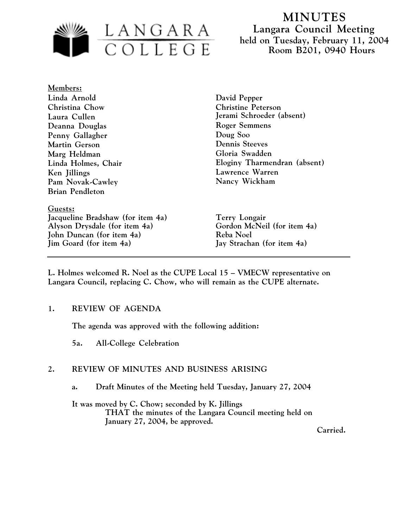

**Members: Linda Arnold Christina Chow Laura Cullen Deanna Douglas Penny Gallagher Martin Gerson Marg Heldman Linda Holmes, Chair Ken Jillings Pam Novak-Cawley Brian Pendleton**

**Guests: Jacqueline Bradshaw (for item 4a) Terry Longair** Alyson Drysdale (for item 4a) **Gordon McNeil** (for item 4a) **John Duncan (for item 4a) Reba Noel Jim Goard (for item 4a) Jay Strachan (for item 4a)**

**David Pepper Christine Peterson Jerami Schroeder (absent) Roger Semmens Doug Soo Dennis Steeves Gloria Swadden Eloginy Tharmendran (absent) Lawrence Warren Nancy Wickham**

**L. Holmes welcomed R. Noel as the CUPE Local 15 – VMECW representative on Langara Council, replacing C. Chow, who will remain as the CUPE alternate.**

# **1. REVIEW OF AGENDA**

**The agenda was approved with the following addition:**

**5a. All-College Celebration**

# **2. REVIEW OF MINUTES AND BUSINESS ARISING**

**a. Draft Minutes of the Meeting held Tuesday, January 27, 2004**

**It was moved by C. Chow; seconded by K. Jillings THAT the minutes of the Langara Council meeting held on January 27, 2004, be approved.**

**Carried.**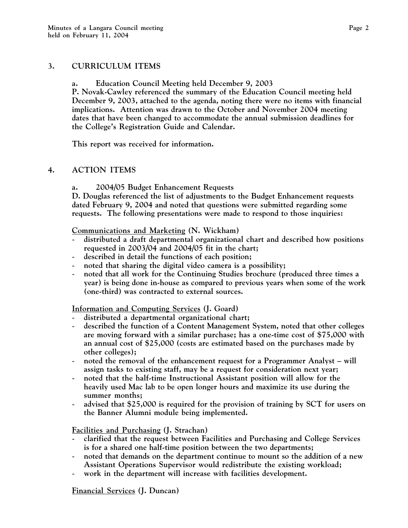# **3. CURRICULUM ITEMS**

**a. Education Council Meeting held December 9, 2003**

**P. Novak-Cawley referenced the summary of the Education Council meeting held December 9, 2003, attached to the agenda, noting there were no items with financial implications. Attention was drawn to the October and November 2004 meeting dates that have been changed to accommodate the annual submission deadlines for the College's Registration Guide and Calendar.**

**This report was received for information.**

# **4. ACTION ITEMS**

**a. 2004/05 Budget Enhancement Requests**

**D. Douglas referenced the list of adjustments to the Budget Enhancement requests dated February 9, 2004 and noted that questions were submitted regarding some requests. The following presentations were made to respond to those inquiries:**

**Communications and Marketing (N. Wickham)**

- **distributed a draft departmental organizational chart and described how positions requested in 2003/04 and 2004/05 fit in the chart;**
- **described in detail the functions of each position;**
- **noted that sharing the digital video camera is a possibility;**
- **noted that all work for the Continuing Studies brochure (produced three times a year) is being done in-house as compared to previous years when some of the work (one-third) was contracted to external sources.**

**Information and Computing Services (J. Goard)**

- **distributed a departmental organizational chart;**
- **described the function of a Content Management System, noted that other colleges are moving forward with a similar purchase; has a one-time cost of \$75,000 with an annual cost of \$25,000 (costs are estimated based on the purchases made by other colleges);**
- **noted the removal of the enhancement request for a Programmer Analyst will assign tasks to existing staff, may be a request for consideration next year;**
- **noted that the half-time Instructional Assistant position will allow for the heavily used Mac lab to be open longer hours and maximize its use during the summer months;**
- **advised that \$25,000 is required for the provision of training by SCT for users on the Banner Alumni module being implemented.**

 **Facilities and Purchasing (J. Strachan)**

- **clarified that the request between Facilities and Purchasing and College Services is for a shared one half-time position between the two departments;**
- **noted that demands on the department continue to mount so the addition of a new Assistant Operations Supervisor would redistribute the existing workload;**
- **work in the department will increase with facilities development.**

**Financial Services (J. Duncan)**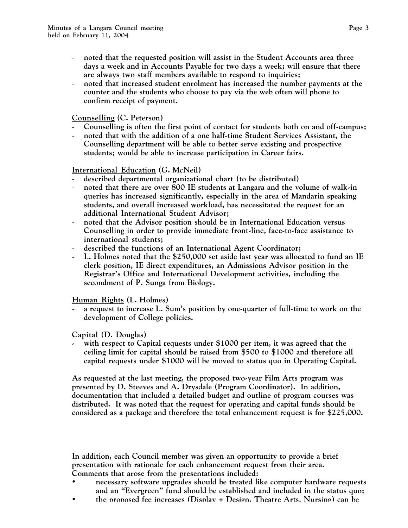- **noted that the requested position will assist in the Student Accounts area three days a week and in Accounts Payable for two days a week; will ensure that there are always two staff members available to respond to inquiries;**
- **noted that increased student enrolment has increased the number payments at the counter and the students who choose to pay via the web often will phone to confirm receipt of payment.**

# **Counselling (C. Peterson)**

- **Counselling is often the first point of contact for students both on and off-campus;**
- **noted that with the addition of a one half-time Student Services Assistant, the Counselling department will be able to better serve existing and prospective students; would be able to increase participation in Career fairs.**

# **International Education (G. McNeil)**

- **described departmental organizational chart (to be distributed)**
- **noted that there are over 800 IE students at Langara and the volume of walk-in queries has increased significantly, especially in the area of Mandarin speaking students, and overall increased workload, has necessitated the request for an additional International Student Advisor;**
- **noted that the Advisor position should be in International Education versus Counselling in order to provide immediate front-line, face-to-face assistance to international students;**
- **described the functions of an International Agent Coordinator;**
- **L. Holmes noted that the \$250,000 set aside last year was allocated to fund an IE clerk position, IE direct expenditures, an Admissions Advisor position in the Registrar's Office and International Development activities, including the secondment of P. Sunga from Biology.**

# **Human Rights (L. Holmes)**

a request to increase L. Sum's position by one-quarter of full-time to work on the **development of College policies.**

# **Capital (D. Douglas)**

**- with respect to Capital requests under \$1000 per item, it was agreed that the ceiling limit for capital should be raised from \$500 to \$1000 and therefore all capital requests under \$1000 will be moved to status quo in Operating Capital.**

**As requested at the last meeting, the proposed two-year Film Arts program was presented by D. Steeves and A. Drysdale (Program Coordinator). In addition, documentation that included a detailed budget and outline of program courses was distributed. It was noted that the request for operating and capital funds should be considered as a package and therefore the total enhancement request is for \$225,000.**

**In addition, each Council member was given an opportunity to provide a brief presentation with rationale for each enhancement request from their area. Comments that arose from the presentations included:**

- **necessary software upgrades should be treated like computer hardware requests and an "Evergreen" fund should be established and included in the status quo;**
- **the proposed fee increases (Display + Design, Theatre Arts, Nursing) can be**